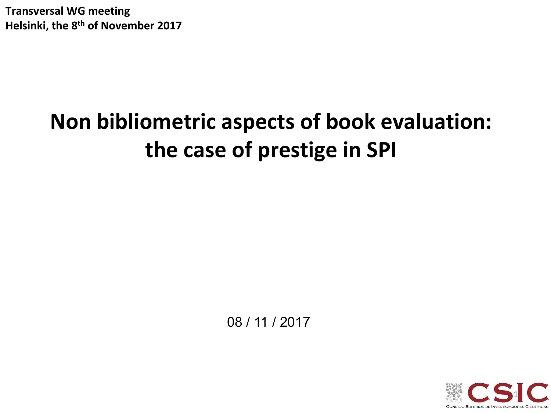**Transversal WG meeting** Helsinki, the 8<sup>th</sup> of November 2017

# **Non bibliometric aspects of book evaluation:**  the case of prestige in SPI

08 / 11 / 2017

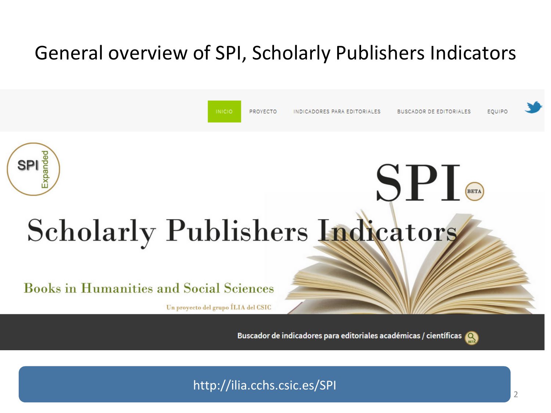## General overview of SPI, Scholarly Publishers Indicators



http://ilia.cchs.csic.es/SPI<br>2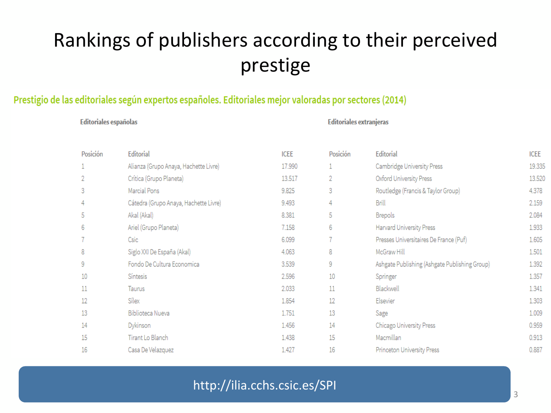## Rankings of publishers according to their perceived prestige

#### Prestigio de las editoriales según expertos españoles. Editoriales mejor valoradas por sectores (2014)

#### **Editoriales españolas**

#### **Editoriales extranjeras**

| Posición | Editorial                             | <b>ICEE</b> | Posición | Editorial                                     | ICEE   |
|----------|---------------------------------------|-------------|----------|-----------------------------------------------|--------|
|          | Alianza (Grupo Anaya, Hachette Livre) | 17.990      |          | Cambridge University Press                    | 19.335 |
|          | Crítica (Grupo Planeta)               | 13.517      | 2        | Oxford University Press                       | 13.520 |
| 3        | Marcial Pons                          | 9.825       | 3        | Routledge (Francis & Taylor Group)            | 4.378  |
| 4        | Cátedra (Grupo Anaya, Hachette Livre) | 9.493       | 4        | Brill                                         | 2.159  |
| 5        | Akal (Akal)                           | 8.381       | 5        | <b>Brepols</b>                                | 2.084  |
| 6        | Ariel (Grupo Planeta)                 | 7.158       | 6        | Harvard University Press                      | 1.933  |
|          | Csic                                  | 6.099       | 7        | Presses Universitaires De France (Puf)        | 1.605  |
| 8        | Siglo XXI De España (Akal)            | 4.063       | 8        | McGraw Hill                                   | 1.501  |
| 9        | Fondo De Cultura Economica            | 3.539       | 9        | Ashgate Publishing (Ashgate Publishing Group) | 1.392  |
| 10       | Síntesis                              | 2.596       | 10       | Springer                                      | 1.357  |
| 11       | Taurus                                | 2.033       | 11       | Blackwell                                     | 1.341  |
| 12       | Sílex                                 | 1.854       | 12       | Elsevier                                      | 1.303  |
| 13       | Biblioteca Nueva                      | 1.751       | 13       | Sage                                          | 1.009  |
| 14       | Dykinson                              | 1.456       | 14       | Chicago University Press                      | 0.959  |
| 15       | Tirant Lo Blanch                      | 1.438       | 15       | Macmillan                                     | 0.913  |
| 16       | Casa De Velazquez                     | 1.427       | 16       | Princeton University Press                    | 0.887  |
|          |                                       |             |          |                                               |        |

### http://ilia.cchs.csic.es/SPI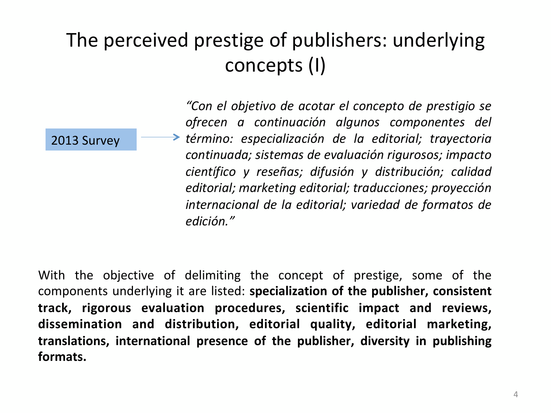## The perceived prestige of publishers: underlying concepts (I)

2013 Survey

*"Con el objetivo de acotar el concepto de prestigio se ofrecen a continuación algunos componentes del término: especialización de la editorial; trayectoria continuada; sistemas de evaluación rigurosos; impacto científico y reseñas; difusión y distribución; calidad editorial; marketing editorial; traducciones; proyección internacional de la editorial; variedad de formatos de edición."* 

With the objective of delimiting the concept of prestige, some of the components underlying it are listed: **specialization of the publisher, consistent** track, rigorous evaluation procedures, scientific impact and reviews, dissemination and distribution, editorial quality, editorial marketing, translations, international presence of the publisher, diversity in publishing **formats.**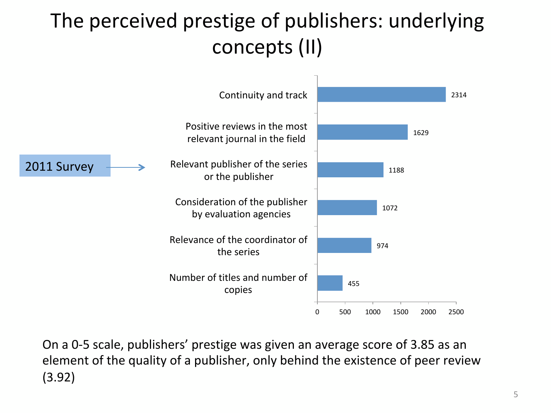# The perceived prestige of publishers: underlying concepts (II)



On a 0-5 scale, publishers' prestige was given an average score of 3.85 as an element of the quality of a publisher, only behind the existence of peer review (3.92)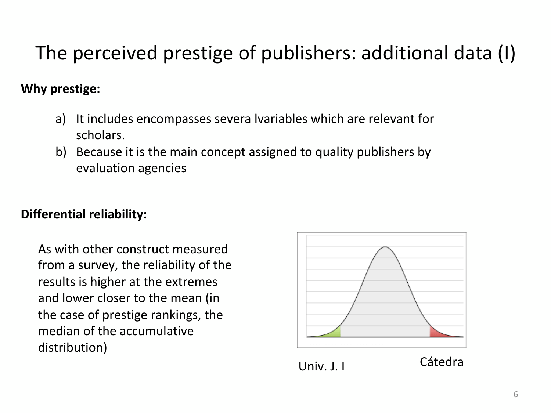## The perceived prestige of publishers: additional data (I)

### **Why prestige:**

- a) It includes encompasses severa lvariables which are relevant for scholars.
- b) Because it is the main concept assigned to quality publishers by evaluation agencies

### **Differential reliability:**

As with other construct measured from a survey, the reliability of the results is higher at the extremes and lower closer to the mean (in the case of prestige rankings, the median of the accumulative distribution) 

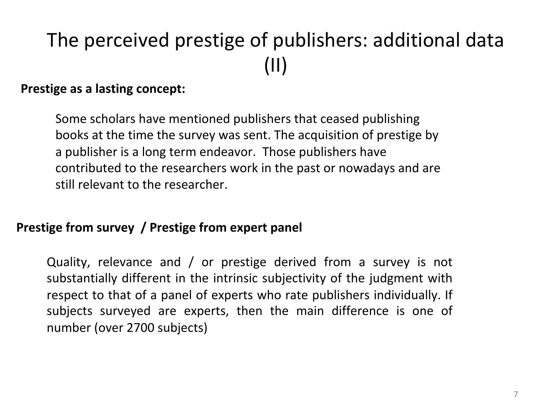# The perceived prestige of publishers: additional data (II)

### **Prestige as a lasting concept:**

Some scholars have mentioned publishers that ceased publishing books at the time the survey was sent. The acquisition of prestige by a publisher is a long term endeavor. Those publishers have contributed to the researchers work in the past or nowadays and are still relevant to the researcher.

### **Prestige from survey / Prestige from expert panel**

Quality, relevance and / or prestige derived from a survey is not substantially different in the intrinsic subjectivity of the judgment with respect to that of a panel of experts who rate publishers individually. If subjects surveyed are experts, then the main difference is one of number (over 2700 subjects)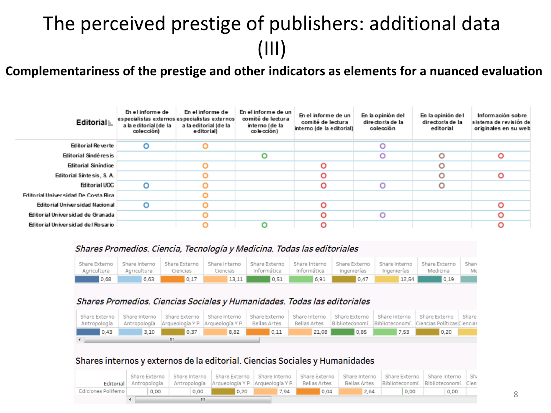## The perceived prestige of publishers: additional data (III)

Complementariness of the prestige and other indicators as elements for a nuanced evaluation

| Editorial $\pm$                     | En el informe de<br>especialistas externos especialistas externos<br>a la editorial (de la<br>colección) | En el informe de<br>a la editorial (de la<br>e ditorial) | En el informe de un<br>comité de lectura<br>interno (de la<br>co le cción) | En el informe de un<br>comité de lectura<br>interno (de la editorial) | En la opinión del<br>director/a de la<br>colección | En la opinión de l<br>director/a de la<br>editorial | Información sobre<br>sistema de revisión de<br>originales en su web |
|-------------------------------------|----------------------------------------------------------------------------------------------------------|----------------------------------------------------------|----------------------------------------------------------------------------|-----------------------------------------------------------------------|----------------------------------------------------|-----------------------------------------------------|---------------------------------------------------------------------|
| Editorial Reverte                   | o                                                                                                        |                                                          |                                                                            |                                                                       |                                                    |                                                     |                                                                     |
| Editorial Sindéres is               |                                                                                                          |                                                          | О                                                                          |                                                                       |                                                    | $\circ$                                             | $\circ$                                                             |
| Editorial Siníndice                 |                                                                                                          |                                                          |                                                                            | O                                                                     |                                                    | $\circ$                                             |                                                                     |
| Editorial Síntesis, S.A.            |                                                                                                          |                                                          |                                                                            | O                                                                     |                                                    | $\circ$                                             | O                                                                   |
| Editorial UOC                       | O                                                                                                        |                                                          |                                                                            | О                                                                     |                                                    | O                                                   |                                                                     |
| Editorial Universidad De Costa Rica |                                                                                                          |                                                          |                                                                            |                                                                       |                                                    |                                                     |                                                                     |
| Editorial Universidad Nacional      | О                                                                                                        |                                                          |                                                                            | O                                                                     |                                                    |                                                     |                                                                     |
| Editorial Universidad de Granada    |                                                                                                          |                                                          |                                                                            | O                                                                     |                                                    |                                                     |                                                                     |
| Editorial Universidad del Rosario   |                                                                                                          |                                                          |                                                                            | O                                                                     |                                                    |                                                     |                                                                     |

#### Shares Promedios. Ciencia, Tecnología y Medicina. Todas las editoriales

| Agricultura | Agricultura | Ciencias | Ciencias               | Informática | ' Informática |      | Ingenierías I Ingenierías I | Share Externo   Share Interno   Share Externo   Share Interno   Share Externo   Share Interno   Share Externo   Share Interno   Share Externo   Share Externo   Share Externo   Share<br>Medicina | Me |
|-------------|-------------|----------|------------------------|-------------|---------------|------|-----------------------------|---------------------------------------------------------------------------------------------------------------------------------------------------------------------------------------------------|----|
| 0.68        | 6.63        | 0.17     | $13.11$ $\blacksquare$ | 0.51        | 6.91          | 0.47 | 12.54                       | 0.19                                                                                                                                                                                              |    |

#### Shares Promedios. Ciencias Sociales y Humanidades. Todas las editoriales

|      |      |                    | Share Externo   Share Interno   Share Externo   Share Interno   Share Externo   Share Interno   Share Externo   Share Interno   Share Externo   Share Interno   Share Externo   Share Externo   Share Externo   Share Externo<br>Antropología   Antropología   Arqueología Y P.,   Arqueología Y P.,   Bellas Artes   Bellas Artes   Biblioteconomí.,   Biblioteconomí.,   Ciencias Políticas  Ciencias |      |                      |      |      |      |  |
|------|------|--------------------|---------------------------------------------------------------------------------------------------------------------------------------------------------------------------------------------------------------------------------------------------------------------------------------------------------------------------------------------------------------------------------------------------------|------|----------------------|------|------|------|--|
| 0.43 | 3,10 | $\vert 0.37 \vert$ | 8,82                                                                                                                                                                                                                                                                                                                                                                                                    | 0.11 | $\blacksquare$ 21.08 | 0.85 | 7.53 | 0.20 |  |
|      |      |                    |                                                                                                                                                                                                                                                                                                                                                                                                         |      |                      |      |      |      |  |

#### Shares internos y externos de la editorial. Ciencias Sociales y Humanidades

|                    |      |      | Share Externo   Share Interno   Share Externo   Share Interno   Share Externo   Share Interno   Share Externo   Share Interno   Shi<br>Editorial   Antropología   Antropología   Arqueología Y P.   Arqueología Y P.   Bellas Artes   Bellas Artes |      |      |      | Biblioteconomí Biblioteconomí Cien |      |  |
|--------------------|------|------|----------------------------------------------------------------------------------------------------------------------------------------------------------------------------------------------------------------------------------------------------|------|------|------|------------------------------------|------|--|
| Ediciones Polifemo | 0.00 | 0.00 | 0.20                                                                                                                                                                                                                                               | 7.94 | 0.04 | 2.64 | 0.00                               | 0,00 |  |
|                    |      |      |                                                                                                                                                                                                                                                    |      |      |      |                                    |      |  |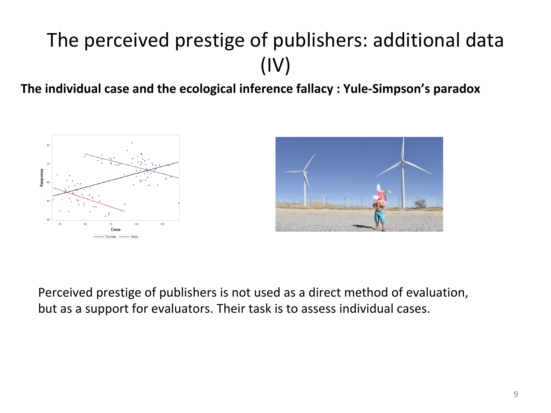# The perceived prestige of publishers: additional data (IV)

The individual case and the ecological inference fallacy : Yule-Simpson's paradox





Perceived prestige of publishers is not used as a direct method of evaluation, but as a support for evaluators. Their task is to assess individual cases.